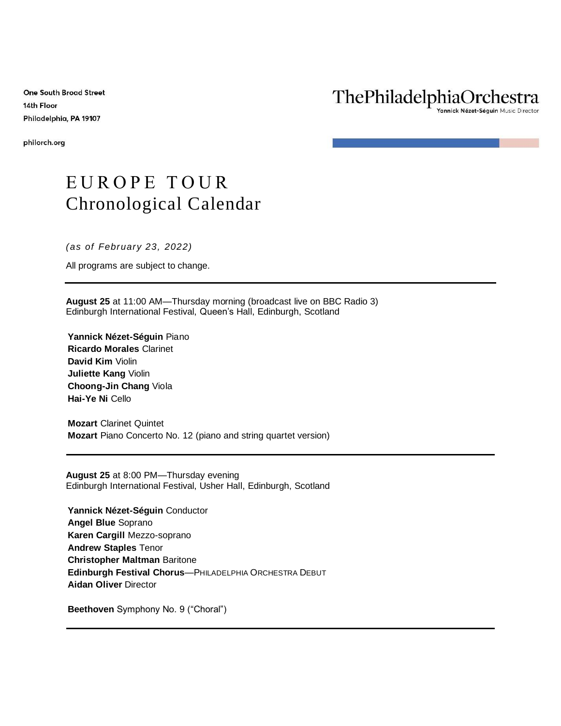**One South Broad Street** 14th Floor Philadelphia, PA 19107

philorch.org

## ThePhiladelphiaOrchestra

rannick Nézet-Séguin Music Director

## EUROPE TOUR Chronological Calendar

*(as of February 23, 2022)*

All programs are subject to change.

**August 25** at 11:00 AM—Thursday morning (broadcast live on BBC Radio 3) Edinburgh International Festival, Queen's Hall, Edinburgh, Scotland

**Yannick Nézet-Séguin** Piano **Ricardo Morales** Clarinet **David Kim** Violin **Juliette Kang** Violin **Choong-Jin Chang** Viola **Hai-Ye Ni** Cello

**Mozart** Clarinet Quintet **Mozart** Piano Concerto No. 12 (piano and string quartet version)

**August 25** at 8:00 PM—Thursday evening Edinburgh International Festival, Usher Hall, Edinburgh, Scotland

**Yannick Nézet-Séguin** Conductor **Angel Blue** Soprano **Karen Cargill** Mezzo-soprano **Andrew Staples** Tenor **Christopher Maltman** Baritone **Edinburgh Festival Chorus**—PHILADELPHIA ORCHESTRA DEBUT **Aidan Oliver** Director

**Beethoven** Symphony No. 9 ("Choral")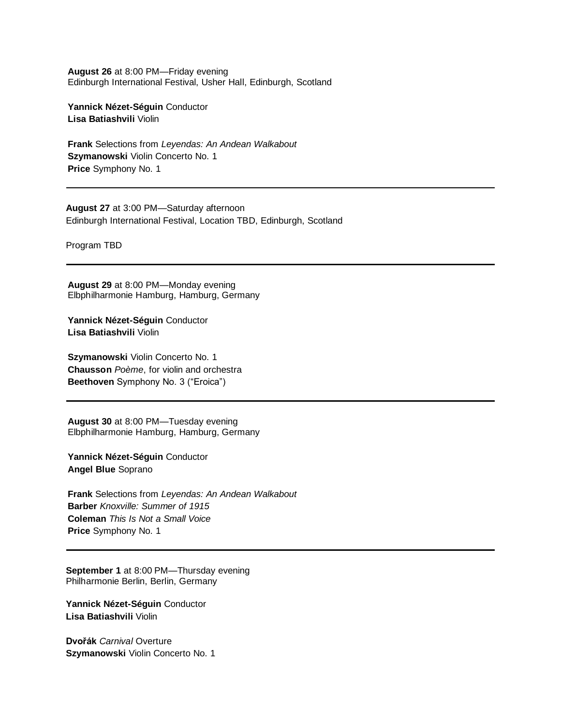**August 26** at 8:00 PM—Friday evening Edinburgh International Festival, Usher Hall, Edinburgh, Scotland

**Yannick Nézet-Séguin** Conductor **Lisa Batiashvili** Violin

**Frank** Selections from *Leyendas: An Andean Walkabout* **Szymanowski** Violin Concerto No. 1 **Price** Symphony No. 1

**August 27** at 3:00 PM—Saturday afternoon Edinburgh International Festival, Location TBD, Edinburgh, Scotland

Program TBD

**August 29** at 8:00 PM—Monday evening Elbphilharmonie Hamburg, Hamburg, Germany

**Yannick Nézet-Séguin** Conductor **Lisa Batiashvili** Violin

**Szymanowski** Violin Concerto No. 1 **Chausson** *Poème*, for violin and orchestra **Beethoven** Symphony No. 3 ("Eroica")

**August 30** at 8:00 PM—Tuesday evening Elbphilharmonie Hamburg, Hamburg, Germany

**Yannick Nézet-Séguin** Conductor **Angel Blue** Soprano

**Frank** Selections from *Leyendas: An Andean Walkabout* **Barber** *Knoxville: Summer of 1915* **Coleman** *This Is Not a Small Voice* **Price** Symphony No. 1

**September 1** at 8:00 PM—Thursday evening Philharmonie Berlin, Berlin, Germany

**Yannick Nézet-Séguin** Conductor **Lisa Batiashvili** Violin

**Dvořák** *Carnival* Overture **Szymanowski** Violin Concerto No. 1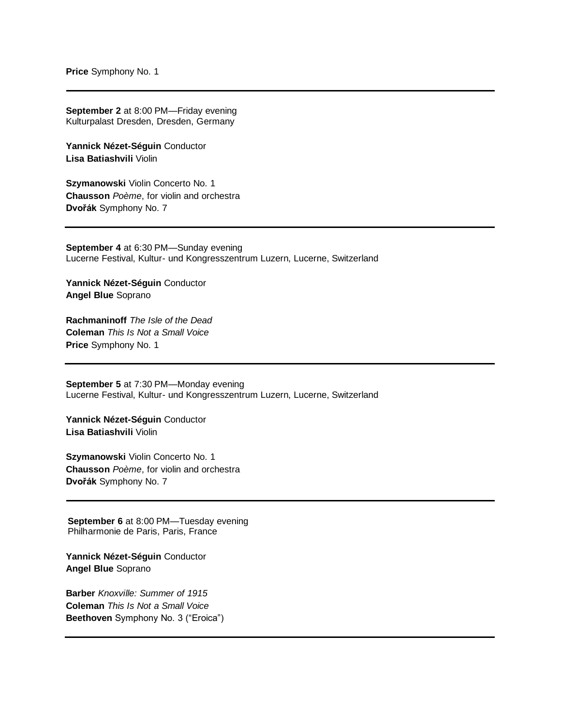**Price** Symphony No. 1

**September 2** at 8:00 PM—Friday evening Kulturpalast Dresden, Dresden, Germany

**Yannick Nézet-Séguin** Conductor **Lisa Batiashvili** Violin

**Szymanowski** Violin Concerto No. 1 **Chausson** *Poème*, for violin and orchestra **Dvořák** Symphony No. 7

**September 4** at 6:30 PM—Sunday evening Lucerne Festival, Kultur- und Kongresszentrum Luzern, Lucerne, Switzerland

**Yannick Nézet-Séguin** Conductor **Angel Blue** Soprano

**Rachmaninoff** *The Isle of the Dead* **Coleman** *This Is Not a Small Voice* **Price** Symphony No. 1

**September 5** at 7:30 PM—Monday evening Lucerne Festival, Kultur- und Kongresszentrum Luzern, Lucerne, Switzerland

**Yannick Nézet-Séguin** Conductor **Lisa Batiashvili** Violin

**Szymanowski** Violin Concerto No. 1 **Chausson** *Poème*, for violin and orchestra **Dvořák** Symphony No. 7

**September 6** at 8:00 PM—Tuesday evening Philharmonie de Paris, Paris, France

**Yannick Nézet-Séguin** Conductor **Angel Blue** Soprano

**Barber** *Knoxville: Summer of 1915* **Coleman** *This Is Not a Small Voice* **Beethoven** Symphony No. 3 ("Eroica")